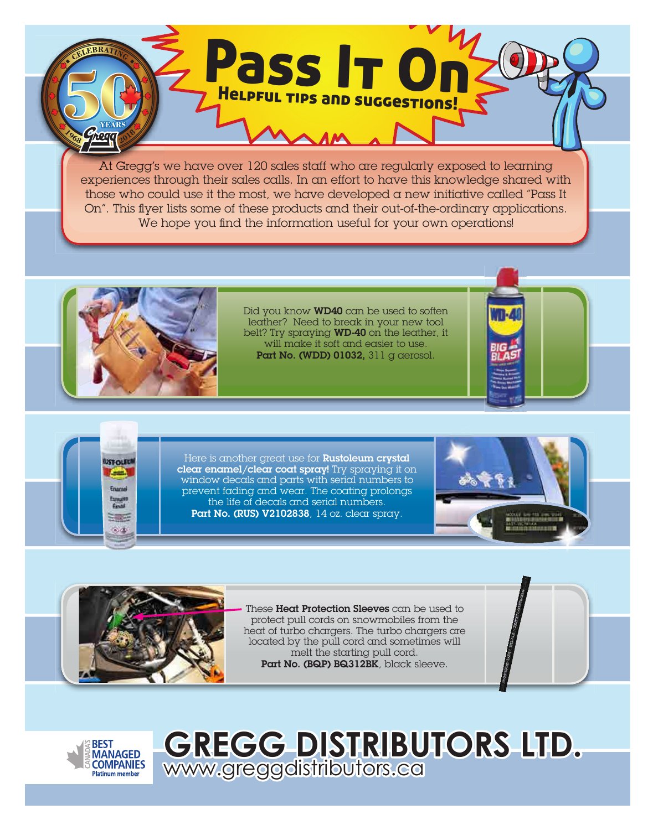At Gregg's we have over 120 sales staff who are regularly exposed to learning experiences through their sales calls. In an effort to have this knowledge shared with those who could use it the most, we have developed a new initiative called "Pass It On". This flyer lists some of these products and their out-of-the-ordinary applications. We hope you find the information useful for your own operations!

Pass It On

Helpful tips and suggestions!



**IST-OLEUR** 

-- -

BRAT

Did you know **WD40** can be used to soften leather? Need to break in your new tool belt? Try spraying WD-40 on the leather, it will make it soft and easier to use. Part No. (WDD) 01032, 311 g aerosol.

Here is another great use for **Rustoleum crystal** clear enamel/clear coat spray! Try spraying it on window decals and parts with serial numbers to prevent fading and wear. The coating prolongs the life of decals and serial numbers. Part No. (RUS) V2102838, 14 oz. clear spray.





These Heat Protection Sleeves can be used to protect pull cords on snowmobiles from the heat of turbo chargers. The turbo chargers are located by the pull cord and sometimes will melt the starting pull cord. Part No. (BQP) BQ312BK, black sleeve.



## **GREGG DISTRIBUTORS LTD.**  www.greggdistributors.ca